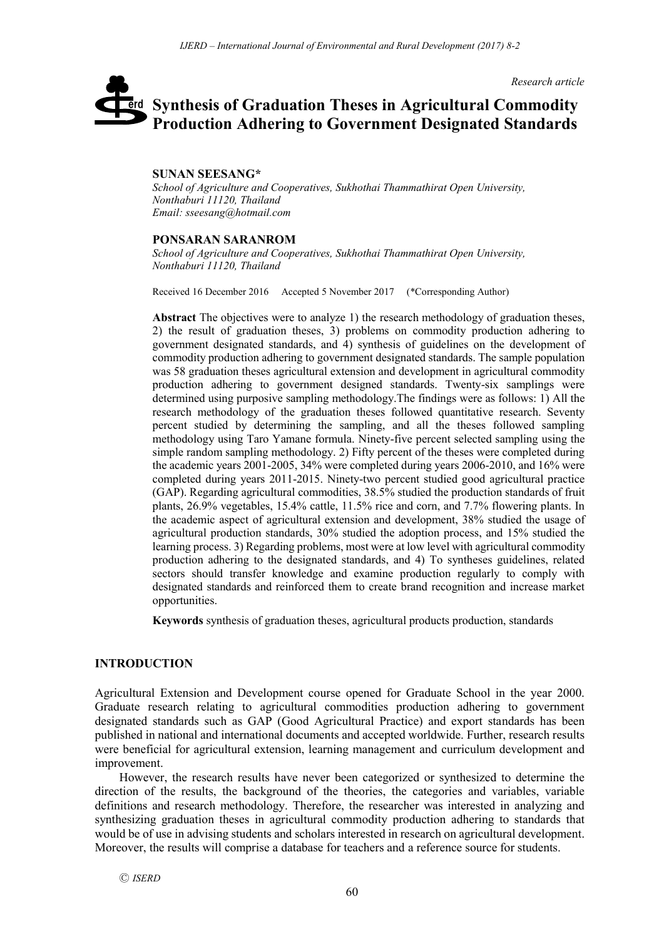*Research article*

# **Synthesis of Graduation Theses in Agricultural Commodity**  erd **Production Adhering to Government Designated Standards**

#### **SUNAN SEESANG\***

*School of Agriculture and Cooperatives, Sukhothai Thammathirat Open University, Nonthaburi 11120, Thailand Email: sseesang@hotmail.com*

#### **PONSARAN SARANROM**

*School of Agriculture and Cooperatives, Sukhothai Thammathirat Open University, Nonthaburi 11120, Thailand*

Received 16 December 2016 Accepted 5 November 2017 (\*Corresponding Author)

**Abstract** The objectives were to analyze 1) the research methodology of graduation theses, 2) the result of graduation theses, 3) problems on commodity production adhering to government designated standards, and 4) synthesis of guidelines on the development of commodity production adhering to government designated standards. The sample population was 58 graduation theses agricultural extension and development in agricultural commodity production adhering to government designed standards. Twenty-six samplings were determined using purposive sampling methodology.The findings were as follows: 1) All the research methodology of the graduation theses followed quantitative research. Seventy percent studied by determining the sampling, and all the theses followed sampling methodology using Taro Yamane formula. Ninety-five percent selected sampling using the simple random sampling methodology. 2) Fifty percent of the theses were completed during the academic years 2001-2005, 34% were completed during years 2006-2010, and 16% were completed during years 2011-2015. Ninety-two percent studied good agricultural practice (GAP). Regarding agricultural commodities, 38.5% studied the production standards of fruit plants, 26.9% vegetables, 15.4% cattle, 11.5% rice and corn, and 7.7% flowering plants. In the academic aspect of agricultural extension and development, 38% studied the usage of agricultural production standards, 30% studied the adoption process, and 15% studied the learning process. 3) Regarding problems, most were at low level with agricultural commodity production adhering to the designated standards, and 4) To syntheses guidelines, related sectors should transfer knowledge and examine production regularly to comply with designated standards and reinforced them to create brand recognition and increase market opportunities.

**Keywords** synthesis of graduation theses, agricultural products production, standards

#### **INTRODUCTION**

Agricultural Extension and Development course opened for Graduate School in the year 2000. Graduate research relating to agricultural commodities production adhering to government designated standards such as GAP (Good Agricultural Practice) and export standards has been published in national and international documents and accepted worldwide. Further, research results were beneficial for agricultural extension, learning management and curriculum development and improvement.

However, the research results have never been categorized or synthesized to determine the direction of the results, the background of the theories, the categories and variables, variable definitions and research methodology. Therefore, the researcher was interested in analyzing and synthesizing graduation theses in agricultural commodity production adhering to standards that would be of use in advising students and scholars interested in research on agricultural development. Moreover, the results will comprise a database for teachers and a reference source for students.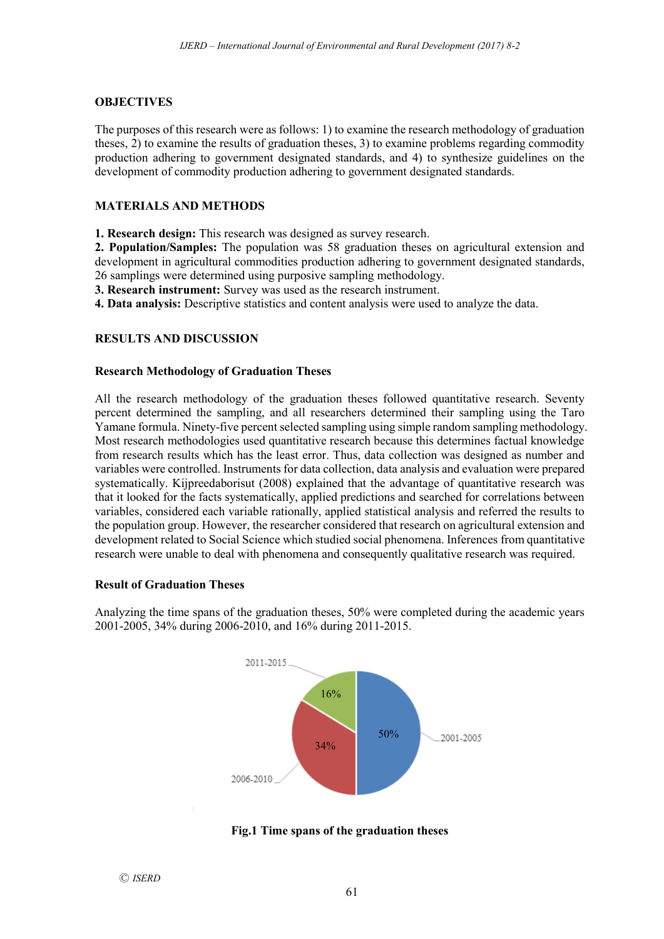## **OBJECTIVES**

The purposes of this research were as follows: 1) to examine the research methodology of graduation theses, 2) to examine the results of graduation theses, 3) to examine problems regarding commodity production adhering to government designated standards, and 4) to synthesize guidelines on the development of commodity production adhering to government designated standards.

## **MATERIALS AND METHODS**

**1. Research design:** This research was designed as survey research.

**2. Population/Samples:** The population was 58 graduation theses on agricultural extension and development in agricultural commodities production adhering to government designated standards, 26 samplings were determined using purposive sampling methodology.

**3. Research instrument:** Survey was used as the research instrument.

**4. Data analysis:** Descriptive statistics and content analysis were used to analyze the data.

# **RESULTS AND DISCUSSION**

## **Research Methodology of Graduation Theses**

All the research methodology of the graduation theses followed quantitative research. Seventy percent determined the sampling, and all researchers determined their sampling using the Taro Yamane formula. Ninety-five percent selected sampling using simple random sampling methodology. Most research methodologies used quantitative research because this determines factual knowledge from research results which has the least error. Thus, data collection was designed as number and variables were controlled. Instruments for data collection, data analysis and evaluation were prepared systematically. Kijpreedaborisut (2008) explained that the advantage of quantitative research was that it looked for the facts systematically, applied predictions and searched for correlations between variables, considered each variable rationally, applied statistical analysis and referred the results to the population group. However, the researcher considered that research on agricultural extension and development related to Social Science which studied social phenomena. Inferences from quantitative research were unable to deal with phenomena and consequently qualitative research was required.

## **Result of Graduation Theses**

Analyzing the time spans of the graduation theses, 50% were completed during the academic years 2001-2005, 34% during 2006-2010, and 16% during 2011-2015.



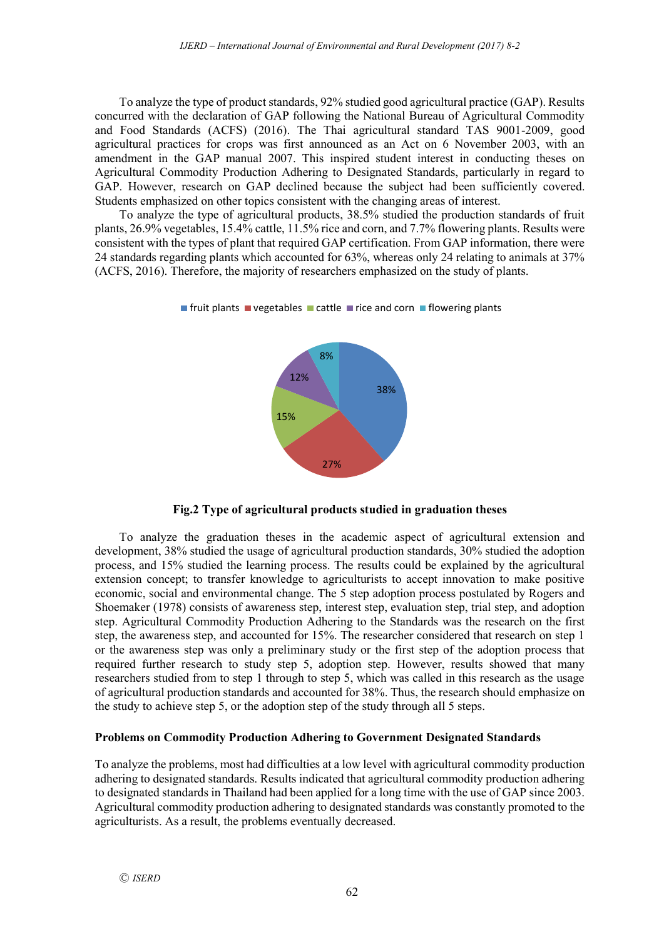To analyze the type of product standards, 92% studied good agricultural practice (GAP). Results concurred with the declaration of GAP following the National Bureau of Agricultural Commodity and Food Standards (ACFS) (2016). The Thai agricultural standard TAS 9001-2009, good agricultural practices for crops was first announced as an Act on 6 November 2003, with an amendment in the GAP manual 2007. This inspired student interest in conducting theses on Agricultural Commodity Production Adhering to Designated Standards, particularly in regard to GAP. However, research on GAP declined because the subject had been sufficiently covered. Students emphasized on other topics consistent with the changing areas of interest.

To analyze the type of agricultural products, 38.5% studied the production standards of fruit plants, 26.9% vegetables, 15.4% cattle, 11.5% rice and corn, and 7.7% flowering plants. Results were consistent with the types of plant that required GAP certification. From GAP information, there were 24 standards regarding plants which accounted for 63%, whereas only 24 relating to animals at 37% (ACFS, 2016). Therefore, the majority of researchers emphasized on the study of plants.



 $\blacksquare$  fruit plants  $\blacksquare$  vegetables  $\blacksquare$  cattle  $\blacksquare$  rice and corn  $\blacksquare$  flowering plants

**Fig.2 Type of agricultural products studied in graduation theses**

To analyze the graduation theses in the academic aspect of agricultural extension and development, 38% studied the usage of agricultural production standards, 30% studied the adoption process, and 15% studied the learning process. The results could be explained by the agricultural extension concept; to transfer knowledge to agriculturists to accept innovation to make positive economic, social and environmental change. The 5 step adoption process postulated by Rogers and Shoemaker (1978) consists of awareness step, interest step, evaluation step, trial step, and adoption step. Agricultural Commodity Production Adhering to the Standards was the research on the first step, the awareness step, and accounted for 15%. The researcher considered that research on step 1 or the awareness step was only a preliminary study or the first step of the adoption process that required further research to study step 5, adoption step. However, results showed that many researchers studied from to step 1 through to step 5, which was called in this research as the usage of agricultural production standards and accounted for 38%. Thus, the research should emphasize on the study to achieve step 5, or the adoption step of the study through all 5 steps.

#### **Problems on Commodity Production Adhering to Government Designated Standards**

To analyze the problems, most had difficulties at a low level with agricultural commodity production adhering to designated standards. Results indicated that agricultural commodity production adhering to designated standards in Thailand had been applied for a long time with the use of GAP since 2003. Agricultural commodity production adhering to designated standards was constantly promoted to the agriculturists. As a result, the problems eventually decreased.